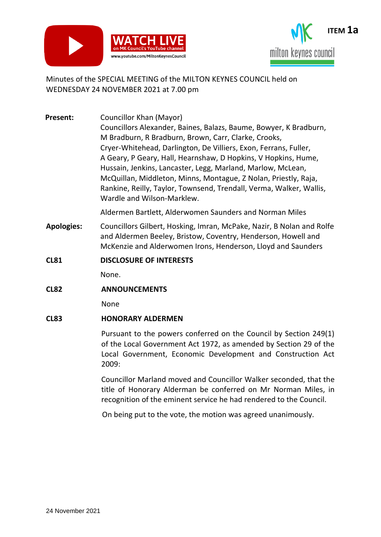



## Minutes of the SPECIAL MEETING of the MILTON KEYNES COUNCIL held on WEDNESDAY 24 NOVEMBER 2021 at 7.00 pm

**Present:** Councillor Khan (Mayor) Councillors Alexander, Baines, Balazs, Baume, Bowyer, K Bradburn, M Bradburn, R Bradburn, Brown, Carr, Clarke, Crooks, Cryer-Whitehead, Darlington, De Villiers, Exon, Ferrans, Fuller, A Geary, P Geary, Hall, Hearnshaw, D Hopkins, V Hopkins, Hume, Hussain, Jenkins, Lancaster, Legg, Marland, Marlow, McLean, McQuillan, Middleton, Minns, Montague, Z Nolan, Priestly, Raja, Rankine, Reilly, Taylor, Townsend, Trendall, Verma, Walker, Wallis, Wardle and Wilson-Marklew.

Aldermen Bartlett, Alderwomen Saunders and Norman Miles

- **Apologies:** Councillors Gilbert, Hosking, Imran, McPake, Nazir, B Nolan and Rolfe and Aldermen Beeley, Bristow, Coventry, Henderson, Howell and McKenzie and Alderwomen Irons, Henderson, Lloyd and Saunders
- **CL81 DISCLOSURE OF INTERESTS**

None.

**CL82 ANNOUNCEMENTS**

None

## **CL83 HONORARY ALDERMEN**

Pursuant to the powers conferred on the Council by Section 249(1) of the Local Government Act 1972, as amended by Section 29 of the Local Government, Economic Development and Construction Act 2009:

Councillor Marland moved and Councillor Walker seconded, that the title of Honorary Alderman be conferred on Mr Norman Miles, in recognition of the eminent service he had rendered to the Council.

On being put to the vote, the motion was agreed unanimously.